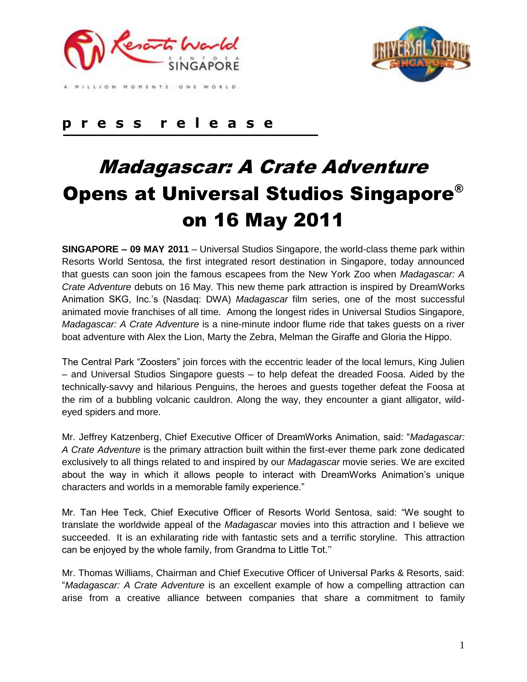



MILLION MOMENTS, ONE WORLD.

## **p r e s s r e l e a s e**

# Madagascar: A Crate Adventure Opens at Universal Studios Singapore® on 16 May 2011

**SINGAPORE – 09 MAY 2011** – Universal Studios Singapore, the world-class theme park within Resorts World Sentosa, the first integrated resort destination in Singapore, today announced that guests can soon join the famous escapees from the New York Zoo when *Madagascar: A Crate Adventure* debuts on 16 May. This new theme park attraction is inspired by DreamWorks Animation SKG, Inc.'s (Nasdaq: DWA) *Madagascar* film series, one of the most successful animated movie franchises of all time. Among the longest rides in Universal Studios Singapore, *Madagascar: A Crate Adventure* is a nine-minute indoor flume ride that takes guests on a river boat adventure with Alex the Lion, Marty the Zebra, Melman the Giraffe and Gloria the Hippo.

The Central Park "Zoosters" join forces with the eccentric leader of the local lemurs, King Julien – and Universal Studios Singapore guests – to help defeat the dreaded Foosa. Aided by the technically-savvy and hilarious Penguins, the heroes and guests together defeat the Foosa at the rim of a bubbling volcanic cauldron. Along the way, they encounter a giant alligator, wildeyed spiders and more.

Mr. Jeffrey Katzenberg, Chief Executive Officer of DreamWorks Animation, said: "*Madagascar: A Crate Adventure* is the primary attraction built within the first-ever theme park zone dedicated exclusively to all things related to and inspired by our *Madagascar* movie series. We are excited about the way in which it allows people to interact with DreamWorks Animation's unique characters and worlds in a memorable family experience."

Mr. Tan Hee Teck, Chief Executive Officer of Resorts World Sentosa, said: "We sought to translate the worldwide appeal of the *Madagascar* movies into this attraction and I believe we succeeded. It is an exhilarating ride with fantastic sets and a terrific storyline. This attraction can be enjoyed by the whole family, from Grandma to Little Tot.''

Mr. Thomas Williams, Chairman and Chief Executive Officer of Universal Parks & Resorts, said: "*Madagascar: A Crate Adventure* is an excellent example of how a compelling attraction can arise from a creative alliance between companies that share a commitment to family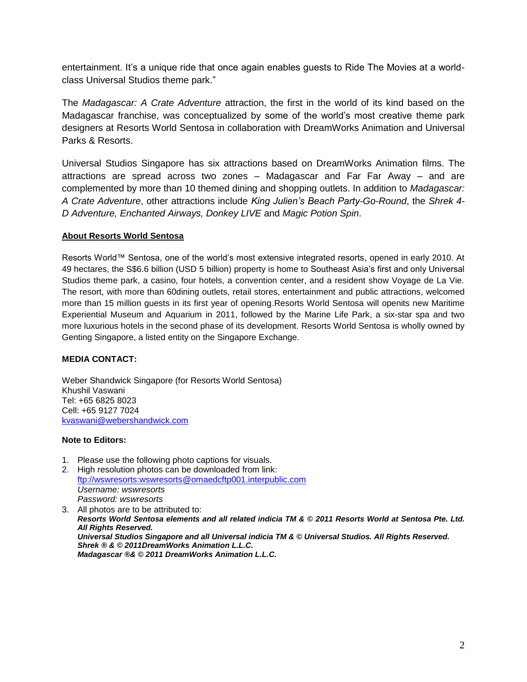entertainment. It's a unique ride that once again enables guests to Ride The Movies at a worldclass Universal Studios theme park."

The *Madagascar: A Crate Adventure* attraction, the first in the world of its kind based on the Madagascar franchise, was conceptualized by some of the world's most creative theme park designers at Resorts World Sentosa in collaboration with DreamWorks Animation and Universal Parks & Resorts.

Universal Studios Singapore has six attractions based on DreamWorks Animation films. The attractions are spread across two zones – Madagascar and Far Far Away – and are complemented by more than 10 themed dining and shopping outlets. In addition to *Madagascar: A Crate Adventure*, other attractions include *King Julien's Beach Party-Go-Round*, the *Shrek 4- D Adventure, Enchanted Airways, Donkey LIVE* and *Magic Potion Spin*.

### **About Resorts World Sentosa**

Resorts World™ Sentosa, one of the world's most extensive integrated resorts, opened in early 2010. At 49 hectares, the S\$6.6 billion (USD 5 billion) property is home to Southeast Asia's first and only Universal Studios theme park, a casino, four hotels, a convention center, and a resident show Voyage de La Vie. The resort, with more than 60dining outlets, retail stores, entertainment and public attractions, welcomed more than 15 million guests in its first year of opening.Resorts World Sentosa will openits new Maritime Experiential Museum and Aquarium in 2011, followed by the Marine Life Park, a six-star spa and two more luxurious hotels in the second phase of its development. Resorts World Sentosa is wholly owned by Genting Singapore, a listed entity on the Singapore Exchange.

### **MEDIA CONTACT:**

Weber Shandwick Singapore (for Resorts World Sentosa) Khushil Vaswani Tel: +65 6825 8023 Cell: +65 9127 7024 [kvaswani@webershandwick.com](mailto:salee@webershandwick.com)

### **Note to Editors:**

- 1. Please use the following photo captions for visuals.
- 2. High resolution photos can be downloaded from link: [ftp://wswresorts:wswresorts@omaedcftp001.interpublic.com](ftp://wswresorts:wswresorts@omaedcftp001.interpublic.com/) *Username: wswresorts Password: wswresorts*

3. All photos are to be attributed to: *Resorts World Sentosa elements and all related indicia TM & © 2011 Resorts World at Sentosa Pte. Ltd. All Rights Reserved. Universal Studios Singapore and all Universal indicia TM & © Universal Studios. All Rights Reserved. Shrek ® & © 2011DreamWorks Animation L.L.C. Madagascar ®& © 2011 DreamWorks Animation L.L.C.*